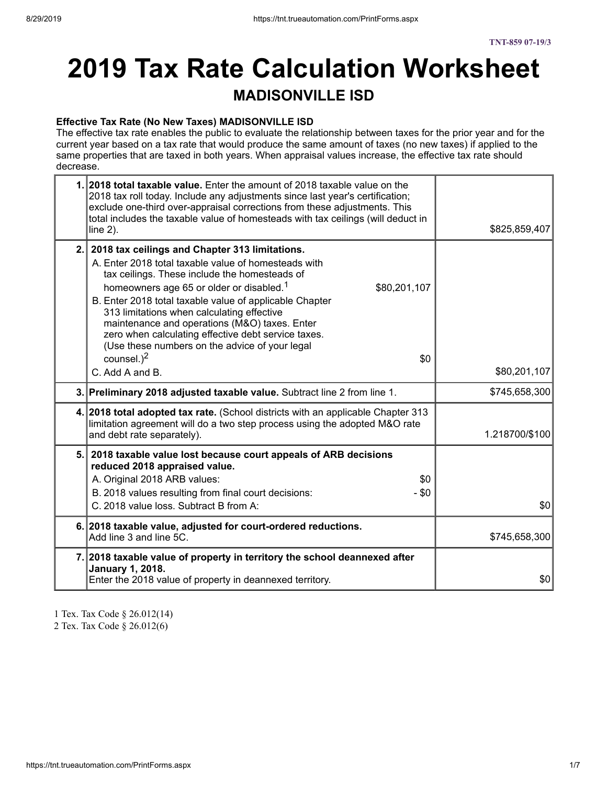# **2019 Tax Rate Calculation Worksheet MADISONVILLE ISD**

#### **Effective Tax Rate (No New Taxes) MADISONVILLE ISD**

The effective tax rate enables the public to evaluate the relationship between taxes for the prior year and for the current year based on a tax rate that would produce the same amount of taxes (no new taxes) if applied to the same properties that are taxed in both years. When appraisal values increase, the effective tax rate should decrease.

| 1. 2018 total taxable value. Enter the amount of 2018 taxable value on the<br>2018 tax roll today. Include any adjustments since last year's certification;<br>exclude one-third over-appraisal corrections from these adjustments. This<br>total includes the taxable value of homesteads with tax ceilings (will deduct in<br>line $2$ ).                                                                                                                                                                                                       | \$825,859,407  |
|---------------------------------------------------------------------------------------------------------------------------------------------------------------------------------------------------------------------------------------------------------------------------------------------------------------------------------------------------------------------------------------------------------------------------------------------------------------------------------------------------------------------------------------------------|----------------|
| 2. 2018 tax ceilings and Chapter 313 limitations.<br>A. Enter 2018 total taxable value of homesteads with<br>tax ceilings. These include the homesteads of<br>homeowners age 65 or older or disabled. <sup>1</sup><br>\$80,201,107<br>B. Enter 2018 total taxable value of applicable Chapter<br>313 limitations when calculating effective<br>maintenance and operations (M&O) taxes. Enter<br>zero when calculating effective debt service taxes.<br>(Use these numbers on the advice of your legal<br>counsel. $)^2$<br>\$0<br>C. Add A and B. | \$80,201,107   |
| 3. Preliminary 2018 adjusted taxable value. Subtract line 2 from line 1.                                                                                                                                                                                                                                                                                                                                                                                                                                                                          | \$745,658,300  |
|                                                                                                                                                                                                                                                                                                                                                                                                                                                                                                                                                   |                |
| 4. 2018 total adopted tax rate. (School districts with an applicable Chapter 313<br>limitation agreement will do a two step process using the adopted M&O rate<br>and debt rate separately).                                                                                                                                                                                                                                                                                                                                                      | 1.218700/\$100 |
| 5. 2018 taxable value lost because court appeals of ARB decisions<br>reduced 2018 appraised value.<br>A. Original 2018 ARB values:<br>\$0<br>B. 2018 values resulting from final court decisions:<br>- \$0<br>C. 2018 value loss. Subtract B from A:                                                                                                                                                                                                                                                                                              | \$0            |
| 6. 2018 taxable value, adjusted for court-ordered reductions.<br>Add line 3 and line 5C.                                                                                                                                                                                                                                                                                                                                                                                                                                                          | \$745,658,300  |

1 Tex. Tax Code § 26.012(14) 2 Tex. Tax Code § 26.012(6)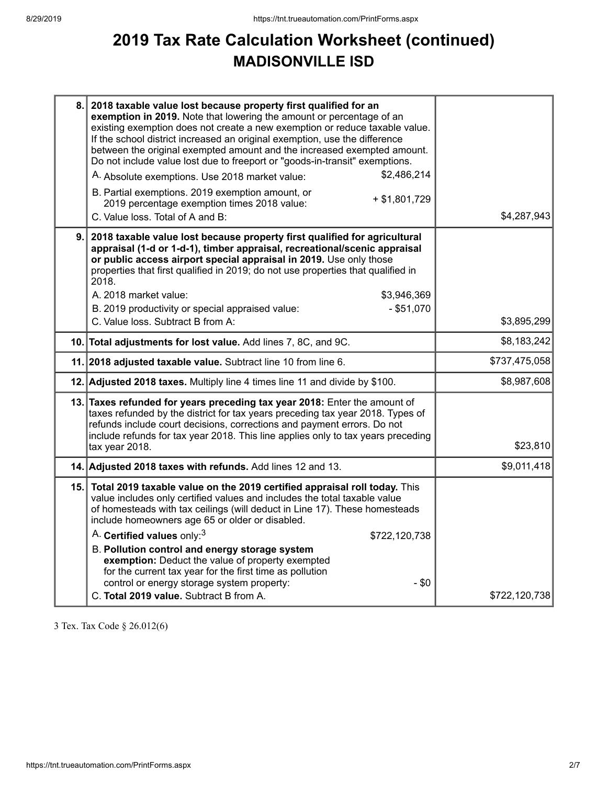## **2019 Tax Rate Calculation Worksheet (continued) MADISONVILLE ISD**

| 8.   | 2018 taxable value lost because property first qualified for an<br>exemption in 2019. Note that lowering the amount or percentage of an<br>existing exemption does not create a new exemption or reduce taxable value.<br>If the school district increased an original exemption, use the difference<br>between the original exempted amount and the increased exempted amount.<br>Do not include value lost due to freeport or "goods-in-transit" exemptions.<br>\$2,486,214<br>A. Absolute exemptions. Use 2018 market value:<br>B. Partial exemptions. 2019 exemption amount, or<br>$+$ \$1,801,729<br>2019 percentage exemption times 2018 value: |               |
|------|-------------------------------------------------------------------------------------------------------------------------------------------------------------------------------------------------------------------------------------------------------------------------------------------------------------------------------------------------------------------------------------------------------------------------------------------------------------------------------------------------------------------------------------------------------------------------------------------------------------------------------------------------------|---------------|
|      | C. Value loss. Total of A and B:                                                                                                                                                                                                                                                                                                                                                                                                                                                                                                                                                                                                                      | \$4,287,943   |
| 9.   | 2018 taxable value lost because property first qualified for agricultural<br>appraisal (1-d or 1-d-1), timber appraisal, recreational/scenic appraisal<br>or public access airport special appraisal in 2019. Use only those<br>properties that first qualified in 2019; do not use properties that qualified in<br>2018.<br>A. 2018 market value:<br>\$3,946,369<br>B. 2019 productivity or special appraised value:<br>$-$ \$51,070                                                                                                                                                                                                                 |               |
|      | C. Value loss. Subtract B from A:                                                                                                                                                                                                                                                                                                                                                                                                                                                                                                                                                                                                                     | \$3,895,299   |
|      | 10. Total adjustments for lost value. Add lines 7, 8C, and 9C.                                                                                                                                                                                                                                                                                                                                                                                                                                                                                                                                                                                        | \$8,183,242   |
|      | 11. 2018 adjusted taxable value. Subtract line 10 from line 6.                                                                                                                                                                                                                                                                                                                                                                                                                                                                                                                                                                                        | \$737,475,058 |
|      | 12. Adjusted 2018 taxes. Multiply line 4 times line 11 and divide by \$100.                                                                                                                                                                                                                                                                                                                                                                                                                                                                                                                                                                           | \$8,987,608   |
|      | 13. Taxes refunded for years preceding tax year 2018: Enter the amount of<br>taxes refunded by the district for tax years preceding tax year 2018. Types of<br>refunds include court decisions, corrections and payment errors. Do not<br>include refunds for tax year 2018. This line applies only to tax years preceding<br>tax year 2018.                                                                                                                                                                                                                                                                                                          | \$23,810      |
|      | 14. Adjusted 2018 taxes with refunds. Add lines 12 and 13.                                                                                                                                                                                                                                                                                                                                                                                                                                                                                                                                                                                            | \$9,011,418   |
| 15.1 | Total 2019 taxable value on the 2019 certified appraisal roll today. This<br>value includes only certified values and includes the total taxable value<br>of homesteads with tax ceilings (will deduct in Line 17). These homesteads<br>include homeowners age 65 or older or disabled.                                                                                                                                                                                                                                                                                                                                                               |               |
|      | A. Certified values only: <sup>3</sup><br>\$722,120,738                                                                                                                                                                                                                                                                                                                                                                                                                                                                                                                                                                                               |               |
|      | B. Pollution control and energy storage system<br>exemption: Deduct the value of property exempted<br>for the current tax year for the first time as pollution<br>control or energy storage system property:<br>$-$ \$0<br>C. Total 2019 value. Subtract B from A.                                                                                                                                                                                                                                                                                                                                                                                    | \$722,120,738 |

3 Tex. Tax Code § 26.012(6)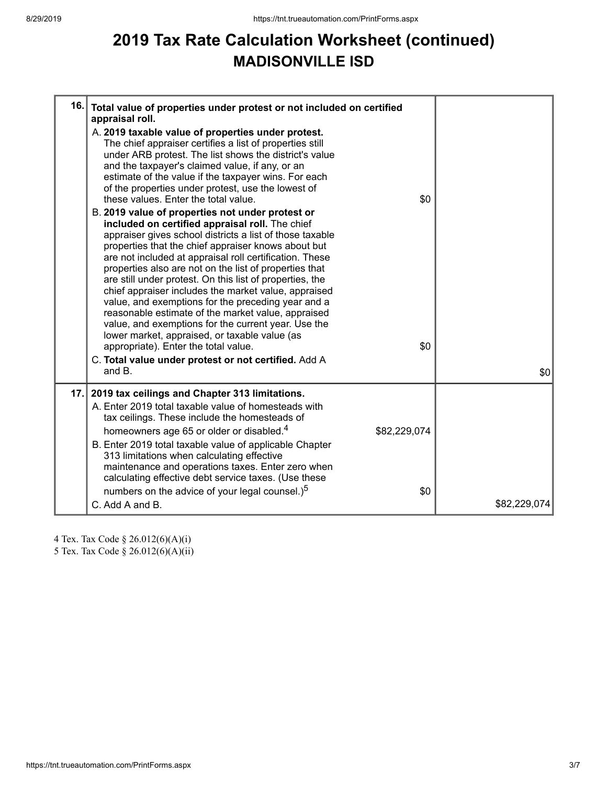## **2019 Tax Rate Calculation Worksheet (continued) MADISONVILLE ISD**

| 16. | Total value of properties under protest or not included on certified<br>appraisal roll.<br>A. 2019 taxable value of properties under protest.<br>The chief appraiser certifies a list of properties still<br>under ARB protest. The list shows the district's value<br>and the taxpayer's claimed value, if any, or an<br>estimate of the value if the taxpayer wins. For each<br>of the properties under protest, use the lowest of<br>these values. Enter the total value.<br>B. 2019 value of properties not under protest or<br>included on certified appraisal roll. The chief<br>appraiser gives school districts a list of those taxable<br>properties that the chief appraiser knows about but<br>are not included at appraisal roll certification. These<br>properties also are not on the list of properties that<br>are still under protest. On this list of properties, the<br>chief appraiser includes the market value, appraised<br>value, and exemptions for the preceding year and a<br>reasonable estimate of the market value, appraised<br>value, and exemptions for the current year. Use the<br>lower market, appraised, or taxable value (as<br>appropriate). Enter the total value.<br>C. Total value under protest or not certified. Add A<br>and B. | \$0<br>\$0          | \$0          |
|-----|-------------------------------------------------------------------------------------------------------------------------------------------------------------------------------------------------------------------------------------------------------------------------------------------------------------------------------------------------------------------------------------------------------------------------------------------------------------------------------------------------------------------------------------------------------------------------------------------------------------------------------------------------------------------------------------------------------------------------------------------------------------------------------------------------------------------------------------------------------------------------------------------------------------------------------------------------------------------------------------------------------------------------------------------------------------------------------------------------------------------------------------------------------------------------------------------------------------------------------------------------------------------------------|---------------------|--------------|
| 17. | 2019 tax ceilings and Chapter 313 limitations.<br>A. Enter 2019 total taxable value of homesteads with<br>tax ceilings. These include the homesteads of<br>homeowners age 65 or older or disabled. <sup>4</sup><br>B. Enter 2019 total taxable value of applicable Chapter<br>313 limitations when calculating effective<br>maintenance and operations taxes. Enter zero when<br>calculating effective debt service taxes. (Use these<br>numbers on the advice of your legal counsel.) <sup>5</sup><br>C. Add A and B.                                                                                                                                                                                                                                                                                                                                                                                                                                                                                                                                                                                                                                                                                                                                                        | \$82,229,074<br>\$0 | \$82,229,074 |

4 Tex. Tax Code § 26.012(6)(A)(i) 5 Tex. Tax Code § 26.012(6)(A)(ii)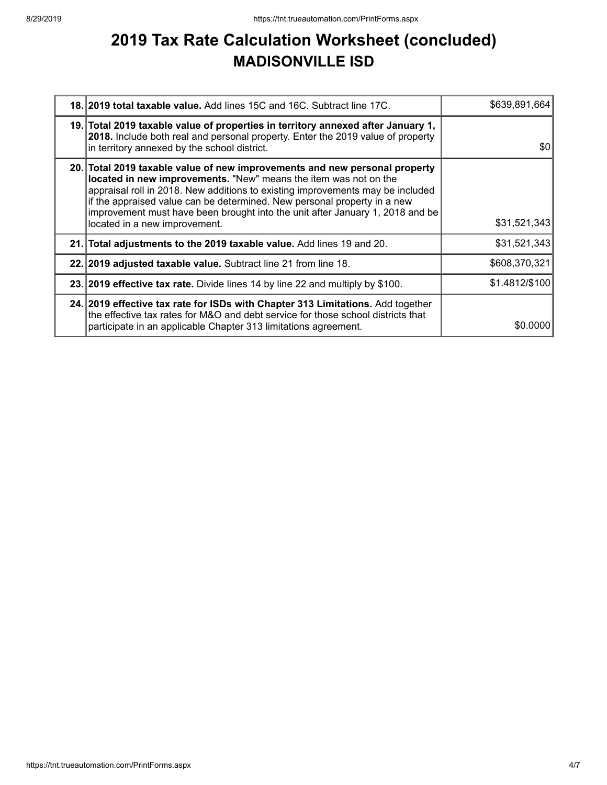## **2019 Tax Rate Calculation Worksheet (concluded) MADISONVILLE ISD**

| <b>18. 2019 total taxable value.</b> Add lines 15C and 16C. Subtract line 17C.                                                                                                                                                                                                                                                                                                                                                 | \$639,891,664  |
|--------------------------------------------------------------------------------------------------------------------------------------------------------------------------------------------------------------------------------------------------------------------------------------------------------------------------------------------------------------------------------------------------------------------------------|----------------|
| 19. Total 2019 taxable value of properties in territory annexed after January 1,<br>2018. Include both real and personal property. Enter the 2019 value of property<br>in territory annexed by the school district.                                                                                                                                                                                                            | \$0            |
| 20. Total 2019 taxable value of new improvements and new personal property<br>located in new improvements. "New" means the item was not on the<br>appraisal roll in 2018. New additions to existing improvements may be included<br>if the appraised value can be determined. New personal property in a new<br>improvement must have been brought into the unit after January 1, 2018 and be<br>located in a new improvement. | \$31,521,343   |
| 21. Total adjustments to the 2019 taxable value. Add lines 19 and 20.                                                                                                                                                                                                                                                                                                                                                          | \$31,521,343   |
| 22. 2019 adjusted taxable value. Subtract line 21 from line 18.                                                                                                                                                                                                                                                                                                                                                                | \$608,370,321  |
| 23. 2019 effective tax rate. Divide lines 14 by line 22 and multiply by \$100.                                                                                                                                                                                                                                                                                                                                                 | \$1.4812/\$100 |
| 24. 2019 effective tax rate for ISDs with Chapter 313 Limitations. Add together<br>the effective tax rates for M&O and debt service for those school districts that<br>participate in an applicable Chapter 313 limitations agreement.                                                                                                                                                                                         | \$0,0000       |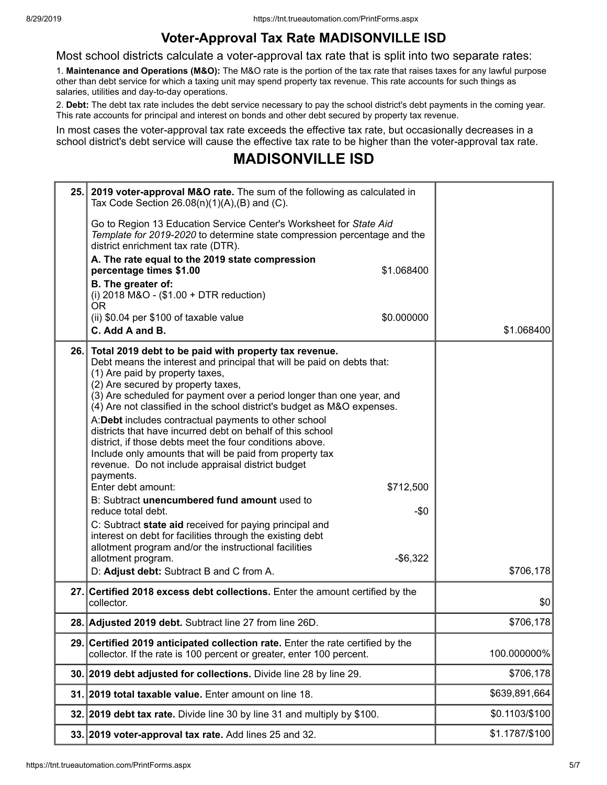### **Voter-Approval Tax Rate MADISONVILLE ISD**

Most school districts calculate a voter-approval tax rate that is split into two separate rates:

1. **Maintenance and Operations (M&O):** The M&O rate is the portion of the tax rate that raises taxes for any lawful purpose other than debt service for which a taxing unit may spend property tax revenue. This rate accounts for such things as salaries, utilities and day-to-day operations.

2. **Debt:** The debt tax rate includes the debt service necessary to pay the school district's debt payments in the coming year. This rate accounts for principal and interest on bonds and other debt secured by property tax revenue.

In most cases the voter-approval tax rate exceeds the effective tax rate, but occasionally decreases in a school district's debt service will cause the effective tax rate to be higher than the voter-approval tax rate.

### **MADISONVILLE ISD**

|      | 25. 2019 voter-approval M&O rate. The sum of the following as calculated in<br>Tax Code Section $26.08(n)(1)(A),(B)$ and (C).                                                                                                                                                                                                                                                                                                                                                                                                                                                                                                                                                                                                                                                                                                                                                                                                                                                                                         |                |
|------|-----------------------------------------------------------------------------------------------------------------------------------------------------------------------------------------------------------------------------------------------------------------------------------------------------------------------------------------------------------------------------------------------------------------------------------------------------------------------------------------------------------------------------------------------------------------------------------------------------------------------------------------------------------------------------------------------------------------------------------------------------------------------------------------------------------------------------------------------------------------------------------------------------------------------------------------------------------------------------------------------------------------------|----------------|
|      | Go to Region 13 Education Service Center's Worksheet for State Aid<br>Template for 2019-2020 to determine state compression percentage and the<br>district enrichment tax rate (DTR).                                                                                                                                                                                                                                                                                                                                                                                                                                                                                                                                                                                                                                                                                                                                                                                                                                 |                |
|      | A. The rate equal to the 2019 state compression<br>percentage times \$1.00<br>\$1.068400                                                                                                                                                                                                                                                                                                                                                                                                                                                                                                                                                                                                                                                                                                                                                                                                                                                                                                                              |                |
|      | B. The greater of:<br>(i) 2018 M&O - (\$1.00 + DTR reduction)<br>0R                                                                                                                                                                                                                                                                                                                                                                                                                                                                                                                                                                                                                                                                                                                                                                                                                                                                                                                                                   |                |
|      | \$0.000000<br>(ii) \$0.04 per \$100 of taxable value                                                                                                                                                                                                                                                                                                                                                                                                                                                                                                                                                                                                                                                                                                                                                                                                                                                                                                                                                                  |                |
|      | C. Add A and B.                                                                                                                                                                                                                                                                                                                                                                                                                                                                                                                                                                                                                                                                                                                                                                                                                                                                                                                                                                                                       | \$1.068400     |
| 26.1 | Total 2019 debt to be paid with property tax revenue.<br>Debt means the interest and principal that will be paid on debts that:<br>(1) Are paid by property taxes,<br>(2) Are secured by property taxes,<br>(3) Are scheduled for payment over a period longer than one year, and<br>(4) Are not classified in the school district's budget as M&O expenses.<br>A:Debt includes contractual payments to other school<br>districts that have incurred debt on behalf of this school<br>district, if those debts meet the four conditions above.<br>Include only amounts that will be paid from property tax<br>revenue. Do not include appraisal district budget<br>payments.<br>Enter debt amount:<br>\$712,500<br>B: Subtract unencumbered fund amount used to<br>$-\$0$<br>reduce total debt.<br>C: Subtract state aid received for paying principal and<br>interest on debt for facilities through the existing debt<br>allotment program and/or the instructional facilities<br>$-$ \$6,322<br>allotment program. | \$706,178      |
|      | D: Adjust debt: Subtract B and C from A.                                                                                                                                                                                                                                                                                                                                                                                                                                                                                                                                                                                                                                                                                                                                                                                                                                                                                                                                                                              |                |
|      | 27. Certified 2018 excess debt collections. Enter the amount certified by the<br>collector.                                                                                                                                                                                                                                                                                                                                                                                                                                                                                                                                                                                                                                                                                                                                                                                                                                                                                                                           | \$0            |
|      | 28. Adjusted 2019 debt. Subtract line 27 from line 26D.                                                                                                                                                                                                                                                                                                                                                                                                                                                                                                                                                                                                                                                                                                                                                                                                                                                                                                                                                               | \$706,178      |
|      | 29. Certified 2019 anticipated collection rate. Enter the rate certified by the<br>collector. If the rate is 100 percent or greater, enter 100 percent.                                                                                                                                                                                                                                                                                                                                                                                                                                                                                                                                                                                                                                                                                                                                                                                                                                                               | 100.000000%    |
|      | 30. 2019 debt adjusted for collections. Divide line 28 by line 29.                                                                                                                                                                                                                                                                                                                                                                                                                                                                                                                                                                                                                                                                                                                                                                                                                                                                                                                                                    | \$706,178      |
|      | 31. 2019 total taxable value. Enter amount on line 18.                                                                                                                                                                                                                                                                                                                                                                                                                                                                                                                                                                                                                                                                                                                                                                                                                                                                                                                                                                | \$639,891,664  |
|      | 32. 2019 debt tax rate. Divide line 30 by line 31 and multiply by \$100.                                                                                                                                                                                                                                                                                                                                                                                                                                                                                                                                                                                                                                                                                                                                                                                                                                                                                                                                              | \$0.1103/\$100 |
|      | 33. 2019 voter-approval tax rate. Add lines 25 and 32.                                                                                                                                                                                                                                                                                                                                                                                                                                                                                                                                                                                                                                                                                                                                                                                                                                                                                                                                                                | \$1.1787/\$100 |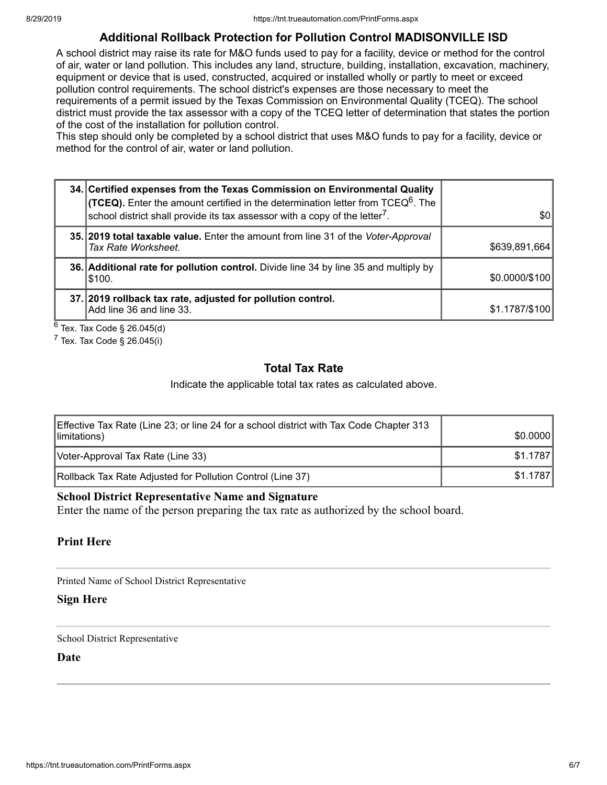### **Additional Rollback Protection for Pollution Control MADISONVILLE ISD**

A school district may raise its rate for M&O funds used to pay for a facility, device or method for the control of air, water or land pollution. This includes any land, structure, building, installation, excavation, machinery, equipment or device that is used, constructed, acquired or installed wholly or partly to meet or exceed pollution control requirements. The school district's expenses are those necessary to meet the requirements of a permit issued by the Texas Commission on Environmental Quality (TCEQ). The school district must provide the tax assessor with a copy of the TCEQ letter of determination that states the portion of the cost of the installation for pollution control.

This step should only be completed by a school district that uses M&O funds to pay for a facility, device or method for the control of air, water or land pollution.

| 34. Certified expenses from the Texas Commission on Environmental Quality<br><b>(TCEQ).</b> Enter the amount certified in the determination letter from TCEQ <sup>6</sup> . The<br>School district shall provide its tax assessor with a copy of the letter $^7$ . | \$0            |
|--------------------------------------------------------------------------------------------------------------------------------------------------------------------------------------------------------------------------------------------------------------------|----------------|
|                                                                                                                                                                                                                                                                    |                |
| 35. 2019 total taxable value. Enter the amount from line 31 of the Voter-Approval<br>Tax Rate Worksheet.                                                                                                                                                           | \$639,891,664  |
| 36. Additional rate for pollution control. Divide line 34 by line 35 and multiply by<br> \$100.                                                                                                                                                                    | \$0.0000/\$100 |
| 37. 2019 rollback tax rate, adjusted for pollution control.<br>Add line 36 and line 33.                                                                                                                                                                            | \$1.1787/\$100 |

 $^6$  Tex. Tax Code § 26.045(d)

 $7$  Tex. Tax Code § 26.045(i)

#### **Total Tax Rate**

Indicate the applicable total tax rates as calculated above.

| Effective Tax Rate (Line 23; or line 24 for a school district with Tax Code Chapter 313<br>limitations) | \$0.0000 |
|---------------------------------------------------------------------------------------------------------|----------|
| Voter-Approval Tax Rate (Line 33)                                                                       | \$1.1787 |
| Rollback Tax Rate Adjusted for Pollution Control (Line 37)                                              | \$1.1787 |

#### **School District Representative Name and Signature**

Enter the name of the person preparing the tax rate as authorized by the school board.

#### **Print Here**

Printed Name of School District Representative

#### **Sign Here**

School District Representative

**Date**